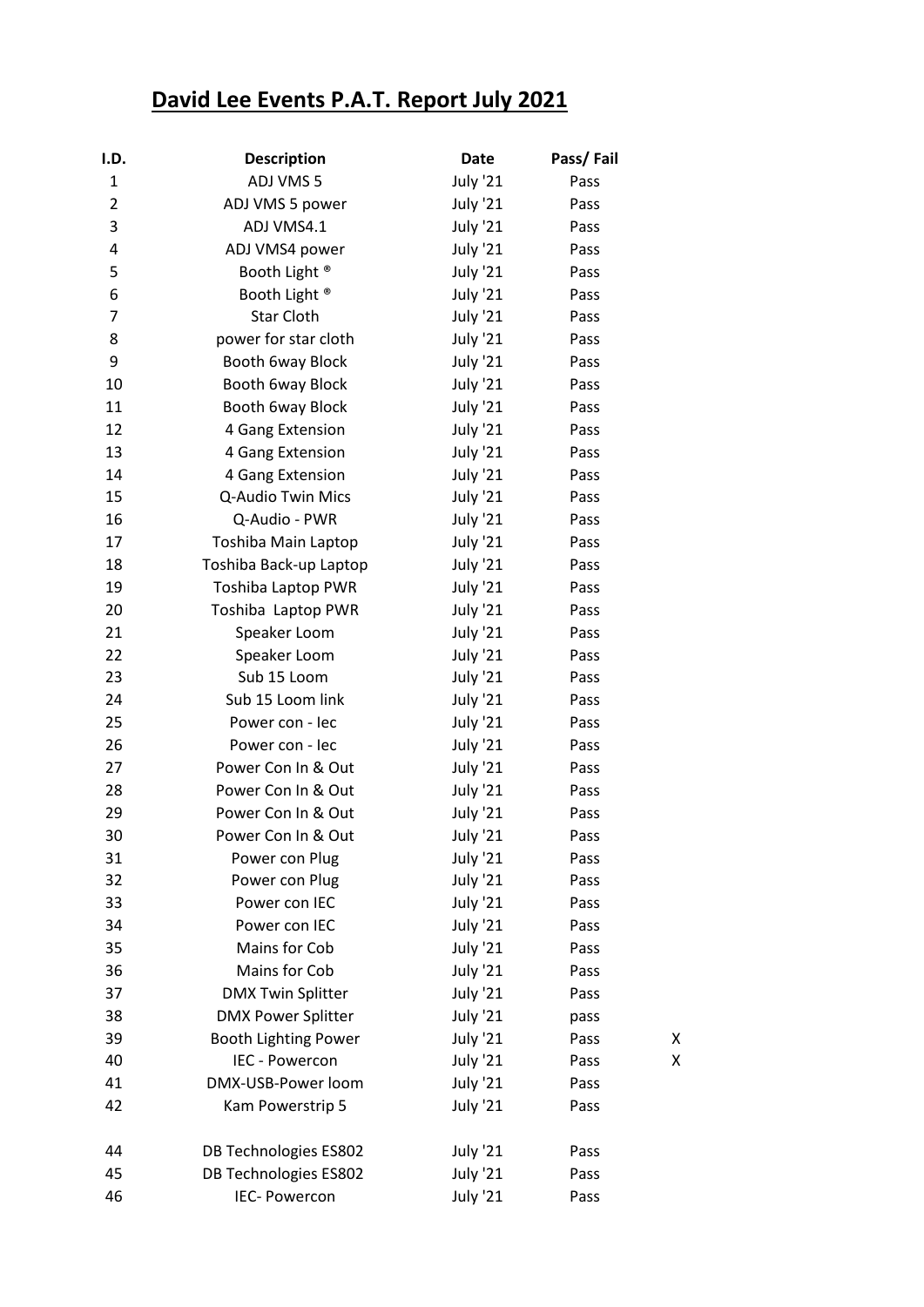## **David Lee Events P.A.T. Report July 2021**

| I.D.           | <b>Description</b>          | <b>Date</b>     | Pass/Fail |   |
|----------------|-----------------------------|-----------------|-----------|---|
| $\mathbf{1}$   | ADJ VMS 5                   | <b>July '21</b> | Pass      |   |
| $\overline{2}$ | ADJ VMS 5 power             | <b>July '21</b> | Pass      |   |
| 3              | ADJ VMS4.1                  | <b>July '21</b> | Pass      |   |
| 4              | ADJ VMS4 power              | <b>July '21</b> | Pass      |   |
| 5              | Booth Light <sup>®</sup>    | July '21        | Pass      |   |
| 6              | Booth Light <sup>®</sup>    | <b>July '21</b> | Pass      |   |
| 7              | <b>Star Cloth</b>           | <b>July '21</b> | Pass      |   |
| 8              | power for star cloth        | <b>July '21</b> | Pass      |   |
| 9              | Booth 6way Block            | <b>July '21</b> | Pass      |   |
| 10             | Booth 6way Block            | July '21        | Pass      |   |
| 11             | Booth 6way Block            | <b>July '21</b> | Pass      |   |
| 12             | 4 Gang Extension            | <b>July '21</b> | Pass      |   |
| 13             | 4 Gang Extension            | <b>July '21</b> | Pass      |   |
| 14             | 4 Gang Extension            | <b>July '21</b> | Pass      |   |
| 15             | Q-Audio Twin Mics           | July '21        | Pass      |   |
| 16             | Q-Audio - PWR               | <b>July '21</b> | Pass      |   |
| 17             | Toshiba Main Laptop         | <b>July '21</b> | Pass      |   |
| 18             | Toshiba Back-up Laptop      | <b>July '21</b> | Pass      |   |
| 19             | Toshiba Laptop PWR          | July '21        | Pass      |   |
| 20             | Toshiba Laptop PWR          | <b>July '21</b> | Pass      |   |
| 21             | Speaker Loom                | <b>July '21</b> | Pass      |   |
| 22             | Speaker Loom                | <b>July '21</b> | Pass      |   |
| 23             | Sub 15 Loom                 | <b>July '21</b> | Pass      |   |
| 24             | Sub 15 Loom link            | July '21        | Pass      |   |
| 25             | Power con - lec             | <b>July '21</b> | Pass      |   |
| 26             | Power con - lec             | <b>July '21</b> | Pass      |   |
| 27             | Power Con In & Out          | July '21        | Pass      |   |
| 28             | Power Con In & Out          | <b>July '21</b> | Pass      |   |
| 29             | Power Con In & Out          | <b>July '21</b> | Pass      |   |
| 30             | Power Con In & Out          | July '21        | Pass      |   |
| 31             | Power con Plug              | <b>July '21</b> | Pass      |   |
| 32             | Power con Plug              | <b>July '21</b> | Pass      |   |
| 33             | Power con IEC               | <b>July '21</b> | Pass      |   |
| 34             | Power con IEC               | <b>July '21</b> | Pass      |   |
| 35             | Mains for Cob               | <b>July '21</b> | Pass      |   |
| 36             | Mains for Cob               | <b>July '21</b> | Pass      |   |
| 37             | <b>DMX Twin Splitter</b>    | <b>July '21</b> | Pass      |   |
| 38             | <b>DMX Power Splitter</b>   | <b>July '21</b> | pass      |   |
| 39             | <b>Booth Lighting Power</b> | <b>July '21</b> | Pass      | Χ |
| 40             | IEC - Powercon              | <b>July '21</b> | Pass      | Χ |
| 41             | DMX-USB-Power loom          | <b>July '21</b> | Pass      |   |
| 42             | Kam Powerstrip 5            | <b>July '21</b> | Pass      |   |
| 44             | DB Technologies ES802       | <b>July '21</b> | Pass      |   |
| 45             | DB Technologies ES802       | <b>July '21</b> | Pass      |   |
| 46             | IEC- Powercon               | <b>July '21</b> | Pass      |   |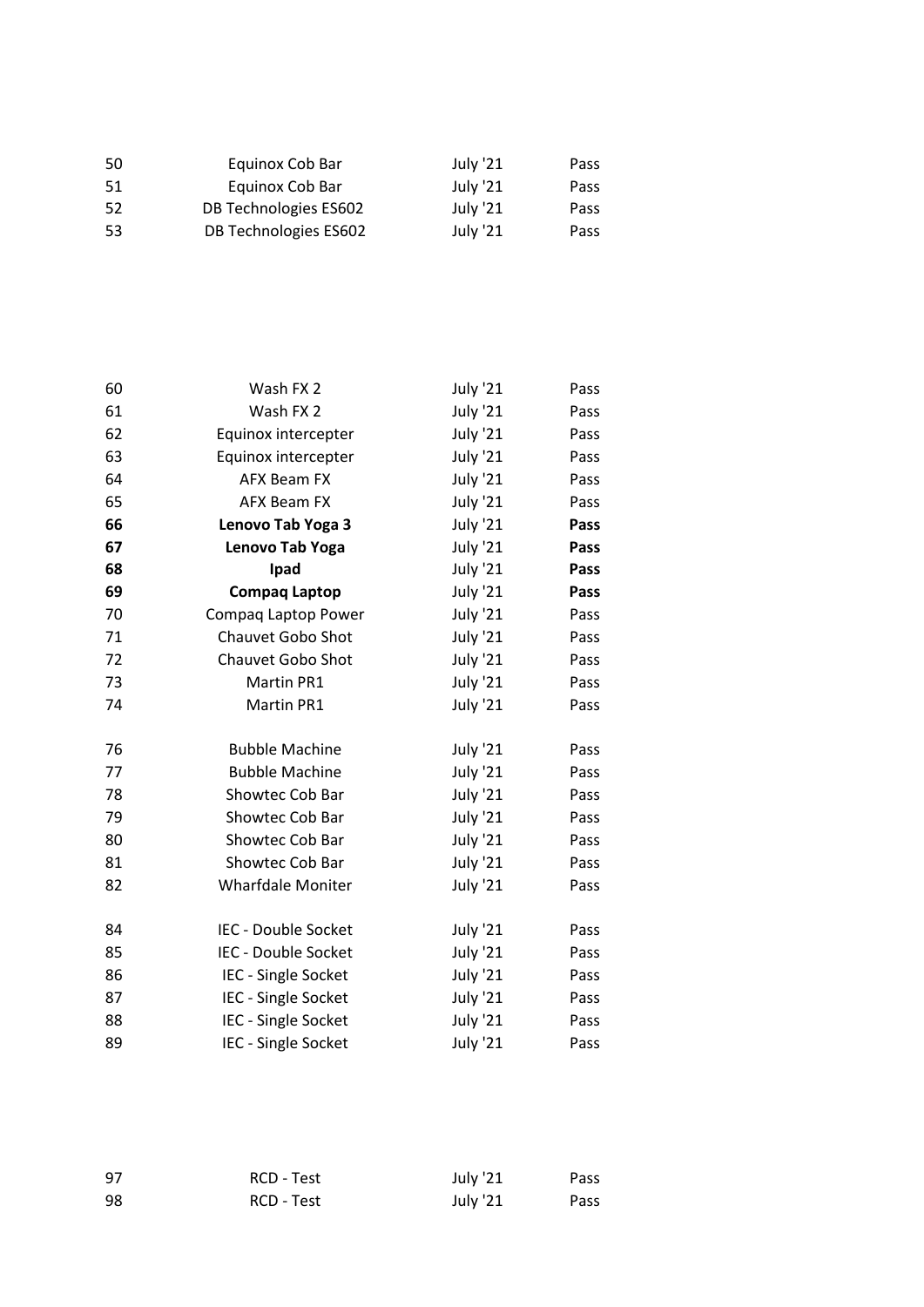| 50  | Equinox Cob Bar       | July '21 | Pass |
|-----|-----------------------|----------|------|
| -51 | Equinox Cob Bar       | July '21 | Pass |
| 52  | DB Technologies ES602 | July '21 | Pass |
| 53  | DB Technologies ES602 | July '21 | Pass |

| 60 | Wash FX 2                  | <b>July '21</b> | Pass |
|----|----------------------------|-----------------|------|
| 61 | Wash FX 2                  | <b>July '21</b> | Pass |
| 62 | Equinox intercepter        | <b>July '21</b> | Pass |
| 63 | Equinox intercepter        | <b>July '21</b> | Pass |
| 64 | <b>AFX Beam FX</b>         | July '21        | Pass |
| 65 | <b>AFX Beam FX</b>         | <b>July '21</b> | Pass |
| 66 | Lenovo Tab Yoga 3          | <b>July '21</b> | Pass |
| 67 | Lenovo Tab Yoga            | <b>July '21</b> | Pass |
| 68 | Ipad                       | July '21        | Pass |
| 69 | <b>Compaq Laptop</b>       | <b>July '21</b> | Pass |
| 70 | Compaq Laptop Power        | <b>July '21</b> | Pass |
| 71 | <b>Chauvet Gobo Shot</b>   | <b>July '21</b> | Pass |
| 72 | <b>Chauvet Gobo Shot</b>   | <b>July '21</b> | Pass |
| 73 | Martin PR1                 | <b>July '21</b> | Pass |
| 74 | Martin PR1                 | <b>July '21</b> | Pass |
|    |                            |                 |      |
| 76 | <b>Bubble Machine</b>      | <b>July '21</b> | Pass |
| 77 | <b>Bubble Machine</b>      | <b>July '21</b> | Pass |
| 78 | Showtec Cob Bar            | <b>July '21</b> | Pass |
| 79 | Showtec Cob Bar            | July '21        | Pass |
| 80 | Showtec Cob Bar            | July '21        | Pass |
| 81 | Showtec Cob Bar            | July '21        | Pass |
| 82 | <b>Wharfdale Moniter</b>   | <b>July '21</b> | Pass |
|    |                            |                 |      |
| 84 | IEC - Double Socket        | July '21        | Pass |
| 85 | <b>IEC - Double Socket</b> | July '21        | Pass |
| 86 | IEC - Single Socket        | <b>July '21</b> | Pass |
| 87 | IEC - Single Socket        | <b>July '21</b> | Pass |
| 88 | IEC - Single Socket        | July '21        | Pass |
| 89 | IEC - Single Socket        | <b>July '21</b> | Pass |

| 97 | <b>RCD - Test</b> | July '21 | Pass |
|----|-------------------|----------|------|
| 98 | RCD - Test        | July '21 | Pass |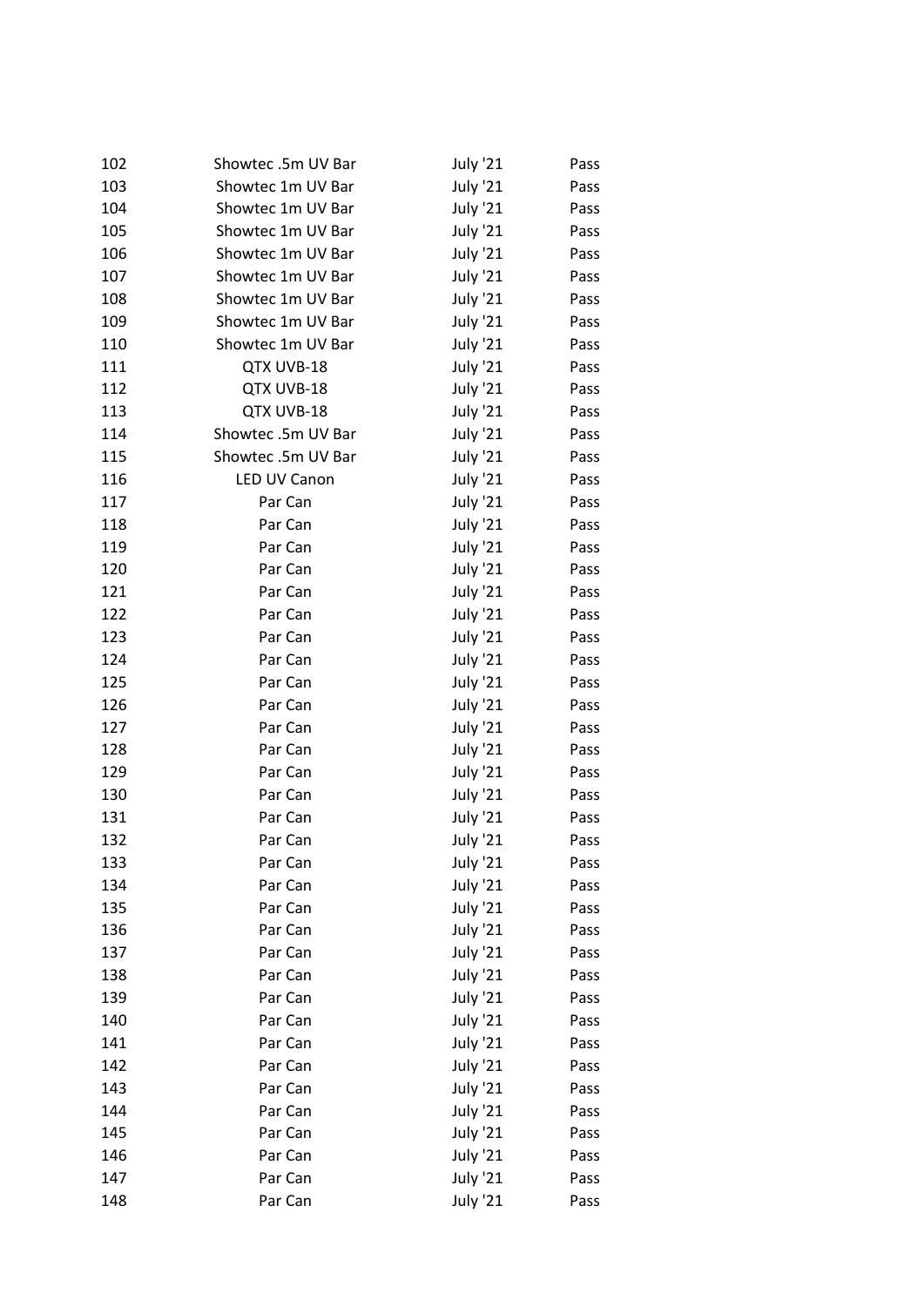| 102 | Showtec.5m UV Bar  | <b>July '21</b> | Pass |
|-----|--------------------|-----------------|------|
| 103 | Showtec 1m UV Bar  | <b>July '21</b> | Pass |
| 104 | Showtec 1m UV Bar  | <b>July '21</b> | Pass |
| 105 | Showtec 1m UV Bar  | <b>July '21</b> | Pass |
| 106 | Showtec 1m UV Bar  | <b>July '21</b> | Pass |
| 107 | Showtec 1m UV Bar  | <b>July '21</b> | Pass |
| 108 | Showtec 1m UV Bar  | <b>July '21</b> | Pass |
| 109 | Showtec 1m UV Bar  | <b>July '21</b> | Pass |
| 110 | Showtec 1m UV Bar  | <b>July '21</b> | Pass |
| 111 | QTX UVB-18         | July '21        | Pass |
| 112 | QTX UVB-18         | July '21        | Pass |
| 113 | QTX UVB-18         | <b>July '21</b> | Pass |
| 114 | Showtec .5m UV Bar | <b>July '21</b> | Pass |
| 115 | Showtec.5m UV Bar  | <b>July '21</b> | Pass |
| 116 | LED UV Canon       | July '21        | Pass |
| 117 | Par Can            | <b>July '21</b> | Pass |
| 118 | Par Can            | <b>July '21</b> | Pass |
| 119 | Par Can            | <b>July '21</b> | Pass |
| 120 | Par Can            | <b>July '21</b> | Pass |
| 121 | Par Can            | July '21        | Pass |
| 122 | Par Can            | <b>July '21</b> | Pass |
| 123 | Par Can            | <b>July '21</b> | Pass |
| 124 | Par Can            | <b>July '21</b> | Pass |
| 125 | Par Can            | July '21        | Pass |
| 126 | Par Can            | <b>July '21</b> | Pass |
| 127 | Par Can            | July '21        | Pass |
| 128 | Par Can            | <b>July '21</b> | Pass |
| 129 | Par Can            | <b>July '21</b> | Pass |
| 130 | Par Can            | July '21        | Pass |
| 131 | Par Can            | <b>July '21</b> | Pass |
| 132 | Par Can            | <b>July '21</b> | Pass |
| 133 | Par Can            | July '21        | Pass |
| 134 | Par Can            | <b>July '21</b> | Pass |
| 135 | Par Can            | <b>July '21</b> | Pass |
| 136 | Par Can            | <b>July '21</b> | Pass |
| 137 | Par Can            | <b>July '21</b> | Pass |
| 138 | Par Can            | <b>July '21</b> | Pass |
| 139 | Par Can            | <b>July '21</b> | Pass |
| 140 | Par Can            | <b>July '21</b> | Pass |
| 141 | Par Can            | <b>July '21</b> | Pass |
| 142 | Par Can            | <b>July '21</b> | Pass |
| 143 | Par Can            | <b>July '21</b> | Pass |
| 144 | Par Can            | <b>July '21</b> | Pass |
| 145 | Par Can            | <b>July '21</b> | Pass |
| 146 | Par Can            | <b>July '21</b> | Pass |
| 147 | Par Can            | <b>July '21</b> | Pass |
| 148 | Par Can            | <b>July '21</b> | Pass |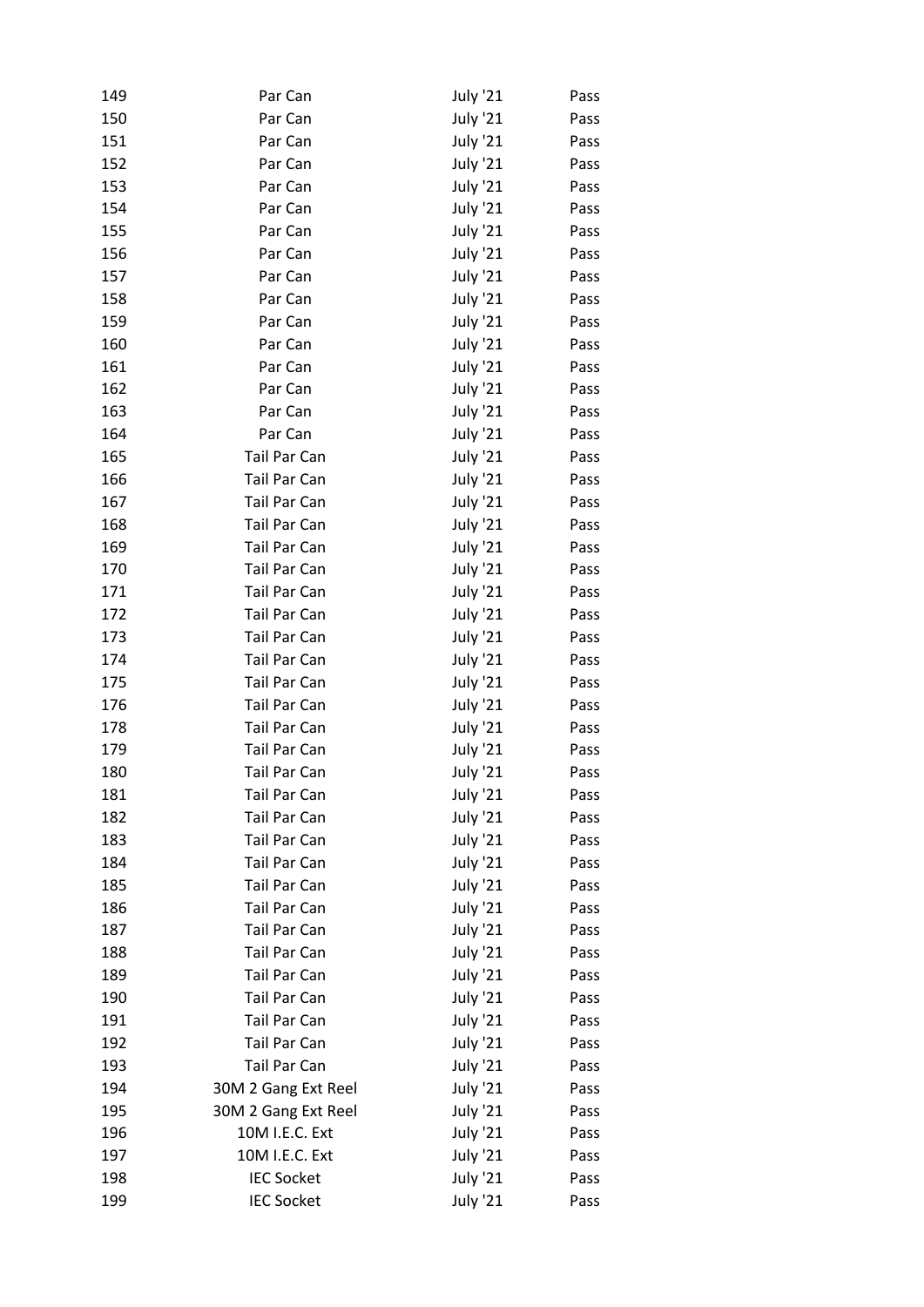| 149 | Par Can             | <b>July '21</b> | Pass |
|-----|---------------------|-----------------|------|
| 150 | Par Can             | <b>July '21</b> | Pass |
| 151 | Par Can             | <b>July '21</b> | Pass |
| 152 | Par Can             | <b>July '21</b> | Pass |
| 153 | Par Can             | <b>July '21</b> | Pass |
| 154 | Par Can             | <b>July '21</b> | Pass |
| 155 | Par Can             | <b>July '21</b> | Pass |
| 156 | Par Can             | <b>July '21</b> | Pass |
| 157 | Par Can             | <b>July '21</b> | Pass |
| 158 | Par Can             | <b>July '21</b> | Pass |
| 159 | Par Can             | <b>July '21</b> | Pass |
| 160 | Par Can             | <b>July '21</b> | Pass |
| 161 | Par Can             | <b>July '21</b> | Pass |
| 162 | Par Can             | <b>July '21</b> | Pass |
| 163 | Par Can             | <b>July '21</b> | Pass |
| 164 | Par Can             | <b>July '21</b> | Pass |
| 165 | Tail Par Can        | <b>July '21</b> | Pass |
| 166 | <b>Tail Par Can</b> | <b>July '21</b> | Pass |
| 167 | Tail Par Can        | <b>July '21</b> | Pass |
| 168 | Tail Par Can        | <b>July '21</b> | Pass |
| 169 | Tail Par Can        | <b>July '21</b> | Pass |
| 170 | Tail Par Can        | <b>July '21</b> | Pass |
| 171 | Tail Par Can        | <b>July '21</b> | Pass |
| 172 | Tail Par Can        | <b>July '21</b> | Pass |
| 173 | Tail Par Can        | <b>July '21</b> |      |
| 174 |                     |                 | Pass |
|     | Tail Par Can        | <b>July '21</b> | Pass |
| 175 | Tail Par Can        | <b>July '21</b> | Pass |
| 176 | <b>Tail Par Can</b> | <b>July '21</b> | Pass |
| 178 | Tail Par Can        | <b>July '21</b> | Pass |
| 179 | Tail Par Can        | <b>July '21</b> | Pass |
| 180 | Tail Par Can        | <b>July '21</b> | Pass |
| 181 | Tail Par Can        | <b>July '21</b> | Pass |
| 182 | Tail Par Can        | <b>July '21</b> | Pass |
| 183 | <b>Tail Par Can</b> | <b>July '21</b> | Pass |
| 184 | Tail Par Can        | <b>July '21</b> | Pass |
| 185 | Tail Par Can        | <b>July '21</b> | Pass |
| 186 | Tail Par Can        | <b>July '21</b> | Pass |
| 187 | <b>Tail Par Can</b> | <b>July '21</b> | Pass |
| 188 | Tail Par Can        | <b>July '21</b> | Pass |
| 189 | <b>Tail Par Can</b> | <b>July '21</b> | Pass |
| 190 | Tail Par Can        | <b>July '21</b> | Pass |
| 191 | Tail Par Can        | <b>July '21</b> | Pass |
| 192 | Tail Par Can        | <b>July '21</b> | Pass |
| 193 | Tail Par Can        | <b>July '21</b> | Pass |
| 194 | 30M 2 Gang Ext Reel | <b>July '21</b> | Pass |
| 195 | 30M 2 Gang Ext Reel | <b>July '21</b> | Pass |
| 196 | 10M I.E.C. Ext      | <b>July '21</b> | Pass |
| 197 | 10M I.E.C. Ext      | <b>July '21</b> | Pass |
| 198 | <b>IEC Socket</b>   | <b>July '21</b> | Pass |
| 199 | <b>IEC Socket</b>   | <b>July '21</b> | Pass |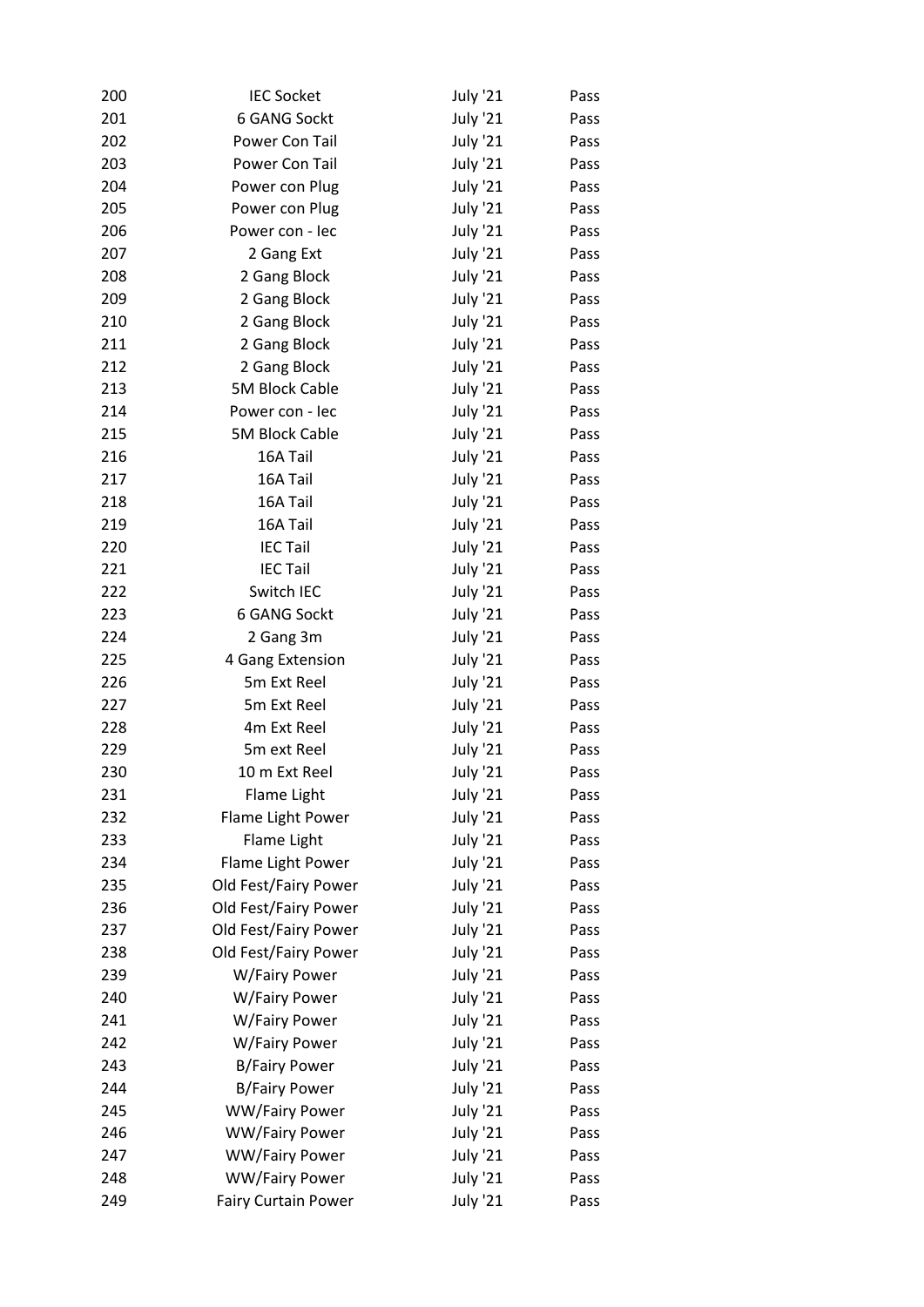| 200 | <b>IEC Socket</b>     | July '21        | Pass |
|-----|-----------------------|-----------------|------|
| 201 | 6 GANG Sockt          | <b>July '21</b> | Pass |
| 202 | Power Con Tail        | <b>July '21</b> | Pass |
| 203 | Power Con Tail        | <b>July '21</b> | Pass |
| 204 | Power con Plug        | July '21        | Pass |
| 205 | Power con Plug        | <b>July '21</b> | Pass |
| 206 | Power con - lec       | <b>July '21</b> | Pass |
| 207 | 2 Gang Ext            | <b>July '21</b> | Pass |
| 208 | 2 Gang Block          | <b>July '21</b> | Pass |
| 209 | 2 Gang Block          | <b>July '21</b> | Pass |
| 210 | 2 Gang Block          | <b>July '21</b> | Pass |
| 211 | 2 Gang Block          | <b>July '21</b> | Pass |
| 212 | 2 Gang Block          | <b>July '21</b> | Pass |
| 213 | <b>5M Block Cable</b> | July '21        | Pass |
| 214 | Power con - lec       | <b>July '21</b> | Pass |
| 215 | 5M Block Cable        | <b>July '21</b> | Pass |
| 216 | 16A Tail              | <b>July '21</b> | Pass |
| 217 | 16A Tail              | <b>July '21</b> | Pass |
| 218 | 16A Tail              | <b>July '21</b> | Pass |
| 219 | 16A Tail              | <b>July '21</b> | Pass |
| 220 | <b>IEC Tail</b>       | <b>July '21</b> | Pass |
| 221 | <b>IEC Tail</b>       | <b>July '21</b> | Pass |
| 222 | Switch IEC            | July '21        | Pass |
| 223 | 6 GANG Sockt          | July '21        | Pass |
| 224 | 2 Gang 3m             | <b>July '21</b> | Pass |
| 225 | 4 Gang Extension      | <b>July '21</b> | Pass |
| 226 | 5m Ext Reel           | <b>July '21</b> | Pass |
| 227 | 5m Ext Reel           | July '21        | Pass |
| 228 | 4m Ext Reel           | <b>July '21</b> | Pass |
| 229 | 5m ext Reel           | <b>July '21</b> | Pass |
| 230 | 10 m Ext Reel         | July '21        | Pass |
| 231 | Flame Light           | <b>July '21</b> | Pass |
| 232 | Flame Light Power     | <b>July '21</b> | Pass |
| 233 | Flame Light           | <b>July '21</b> | Pass |
| 234 | Flame Light Power     | <b>July '21</b> | Pass |
| 235 | Old Fest/Fairy Power  | <b>July '21</b> | Pass |
| 236 | Old Fest/Fairy Power  | <b>July '21</b> | Pass |
| 237 | Old Fest/Fairy Power  | <b>July '21</b> | Pass |
| 238 | Old Fest/Fairy Power  | <b>July '21</b> | Pass |
| 239 | W/Fairy Power         | <b>July '21</b> | Pass |
| 240 | W/Fairy Power         | <b>July '21</b> | Pass |
| 241 | W/Fairy Power         | July '21        | Pass |
| 242 | W/Fairy Power         | <b>July '21</b> | Pass |
| 243 | <b>B/Fairy Power</b>  | <b>July '21</b> | Pass |
| 244 | <b>B/Fairy Power</b>  | <b>July '21</b> | Pass |
| 245 | WW/Fairy Power        | <b>July '21</b> | Pass |
| 246 | <b>WW/Fairy Power</b> | <b>July '21</b> | Pass |
| 247 | <b>WW/Fairy Power</b> | <b>July '21</b> | Pass |
| 248 | <b>WW/Fairy Power</b> | <b>July '21</b> | Pass |
| 249 | Fairy Curtain Power   | <b>July '21</b> | Pass |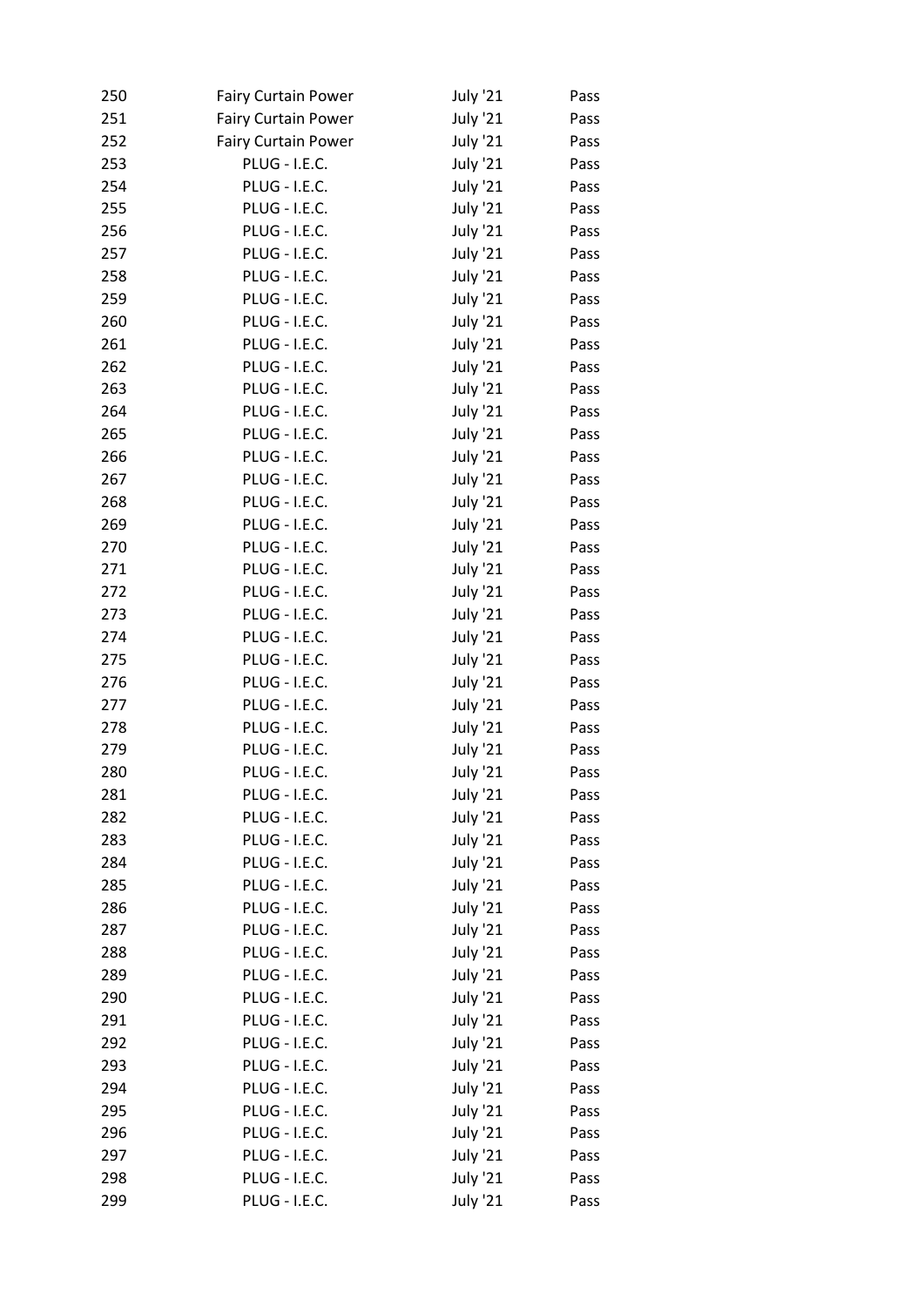| 250 | <b>Fairy Curtain Power</b> | <b>July '21</b> | Pass |
|-----|----------------------------|-----------------|------|
| 251 | <b>Fairy Curtain Power</b> | July '21        | Pass |
| 252 | <b>Fairy Curtain Power</b> | July '21        | Pass |
| 253 | PLUG - I.E.C.              | <b>July '21</b> | Pass |
| 254 | PLUG - I.E.C.              | July '21        | Pass |
| 255 | <b>PLUG - I.E.C.</b>       | July '21        | Pass |
| 256 | PLUG - I.E.C.              | July '21        | Pass |
| 257 | PLUG - I.E.C.              | <b>July '21</b> | Pass |
| 258 | PLUG - I.E.C.              | July '21        | Pass |
| 259 | PLUG - I.E.C.              | July '21        | Pass |
| 260 | PLUG - I.E.C.              | July '21        | Pass |
| 261 | <b>PLUG - I.E.C.</b>       | July '21        | Pass |
| 262 | <b>PLUG - I.E.C.</b>       | <b>July '21</b> | Pass |
| 263 | PLUG - I.E.C.              | July '21        | Pass |
| 264 | PLUG - I.E.C.              | July '21        | Pass |
| 265 | PLUG - I.E.C.              | July '21        | Pass |
| 266 | <b>PLUG - I.E.C.</b>       | July '21        | Pass |
| 267 | PLUG - I.E.C.              | <b>July '21</b> | Pass |
| 268 | <b>PLUG - I.E.C.</b>       | July '21        | Pass |
| 269 | PLUG - I.E.C.              | July '21        | Pass |
| 270 | PLUG - I.E.C.              | July '21        | Pass |
| 271 | PLUG - I.E.C.              | <b>July '21</b> | Pass |
| 272 | <b>PLUG - I.E.C.</b>       | <b>July '21</b> | Pass |
| 273 | <b>PLUG - I.E.C.</b>       | July '21        | Pass |
| 274 | PLUG - I.E.C.              | July '21        | Pass |
| 275 | PLUG - I.E.C.              | July '21        | Pass |
| 276 | PLUG - I.E.C.              | <b>July '21</b> | Pass |
| 277 | PLUG - I.E.C.              | July '21        | Pass |
| 278 | PLUG - I.E.C.              | July '21        | Pass |
| 279 | <b>PLUG - I.E.C.</b>       | July '21        | Pass |
| 280 | <b>PLUG - I.E.C.</b>       | <b>July '21</b> | Pass |
| 281 | <b>PLUG - I.E.C.</b>       | <b>July '21</b> | Pass |
| 282 | PLUG - I.E.C.              | <b>July '21</b> | Pass |
| 283 | <b>PLUG - I.E.C.</b>       | <b>July '21</b> | Pass |
| 284 | PLUG - I.E.C.              | <b>July '21</b> | Pass |
| 285 | PLUG - I.E.C.              | July '21        | Pass |
| 286 | PLUG - I.E.C.              | <b>July '21</b> | Pass |
| 287 | PLUG - I.E.C.              | <b>July '21</b> | Pass |
| 288 | <b>PLUG - I.E.C.</b>       | <b>July '21</b> | Pass |
| 289 | PLUG - I.E.C.              | <b>July '21</b> | Pass |
| 290 | PLUG - I.E.C.              | <b>July '21</b> | Pass |
| 291 | <b>PLUG - I.E.C.</b>       | <b>July '21</b> | Pass |
| 292 | <b>PLUG - I.E.C.</b>       | <b>July '21</b> |      |
| 293 | PLUG - I.E.C.              | <b>July '21</b> | Pass |
|     |                            |                 | Pass |
| 294 | <b>PLUG - I.E.C.</b>       | <b>July '21</b> | Pass |
| 295 | PLUG - I.E.C.              | July '21        | Pass |
| 296 | PLUG - I.E.C.              | July '21        | Pass |
| 297 | PLUG - I.E.C.              | <b>July '21</b> | Pass |
| 298 | <b>PLUG - I.E.C.</b>       | <b>July '21</b> | Pass |
| 299 | PLUG - I.E.C.              | <b>July '21</b> | Pass |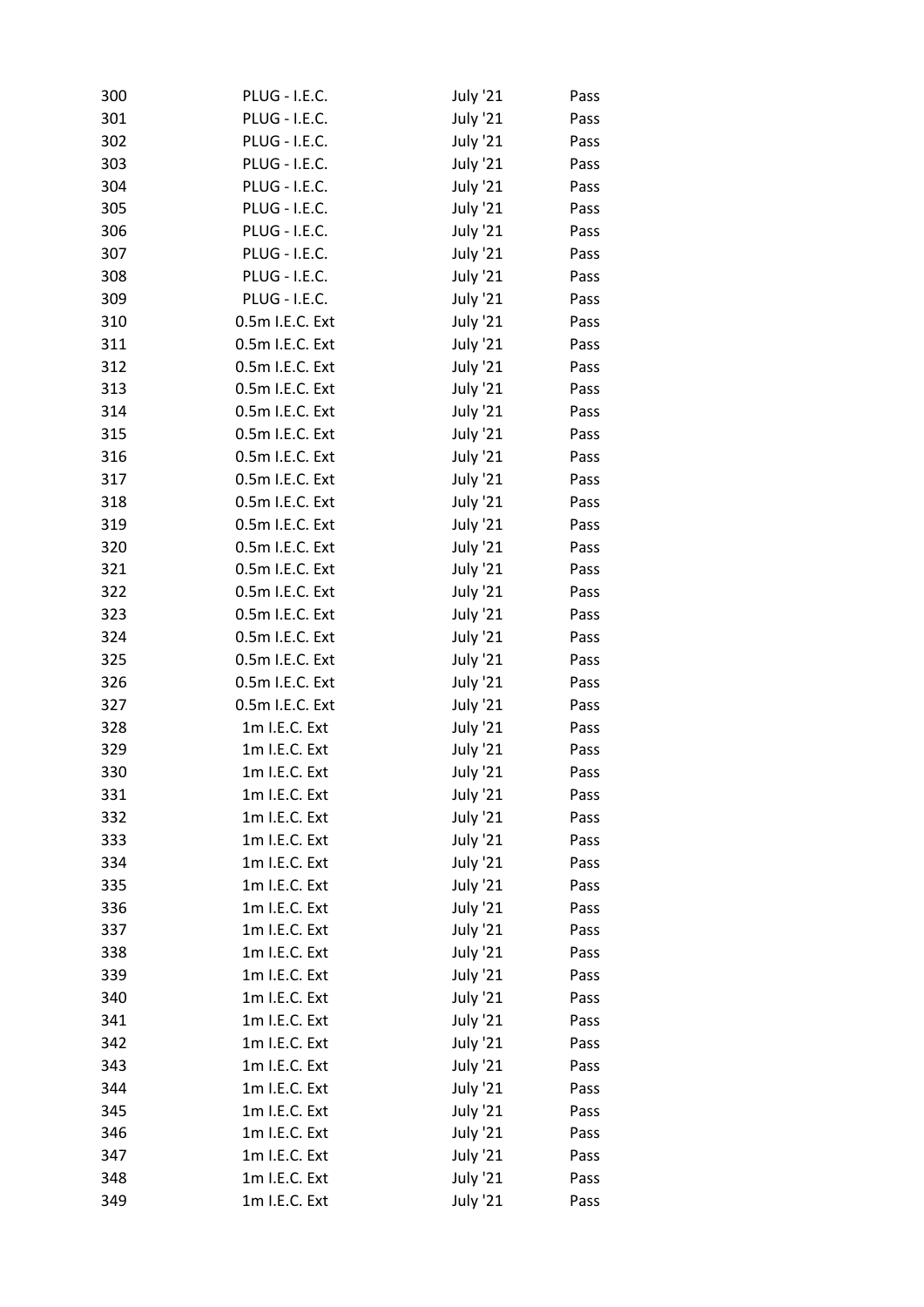| 300 | PLUG - I.E.C.        | July '21        | Pass |
|-----|----------------------|-----------------|------|
| 301 | <b>PLUG - I.E.C.</b> | July '21        | Pass |
| 302 | <b>PLUG - I.E.C.</b> | July '21        | Pass |
| 303 | PLUG - I.E.C.        | July '21        | Pass |
| 304 | PLUG - I.E.C.        | July '21        | Pass |
| 305 | <b>PLUG - I.E.C.</b> | July '21        | Pass |
| 306 | <b>PLUG - I.E.C.</b> | July '21        | Pass |
| 307 | PLUG - I.E.C.        | July '21        | Pass |
| 308 | PLUG - I.E.C.        | July '21        | Pass |
| 309 | <b>PLUG - I.E.C.</b> | July '21        | Pass |
| 310 | 0.5m I.E.C. Ext      | July '21        | Pass |
| 311 | 0.5m I.E.C. Ext      | July '21        | Pass |
| 312 | 0.5m I.E.C. Ext      | July '21        | Pass |
| 313 | 0.5m I.E.C. Ext      | July '21        | Pass |
| 314 | 0.5m I.E.C. Ext      | July '21        | Pass |
| 315 | 0.5m I.E.C. Ext      | July '21        | Pass |
| 316 | 0.5m I.E.C. Ext      | July '21        | Pass |
| 317 | 0.5m I.E.C. Ext      | July '21        | Pass |
| 318 | 0.5m I.E.C. Ext      | July '21        | Pass |
| 319 | 0.5m I.E.C. Ext      | July '21        | Pass |
| 320 | 0.5m I.E.C. Ext      | July '21        | Pass |
| 321 | 0.5m I.E.C. Ext      | July '21        | Pass |
| 322 | 0.5m I.E.C. Ext      | July '21        | Pass |
| 323 | 0.5m I.E.C. Ext      | July '21        | Pass |
| 324 | 0.5m I.E.C. Ext      | July '21        | Pass |
| 325 | 0.5m I.E.C. Ext      | July '21        | Pass |
| 326 | 0.5m I.E.C. Ext      | July '21        | Pass |
| 327 | 0.5m I.E.C. Ext      | July '21        | Pass |
| 328 | 1m I.E.C. Ext        | July '21        | Pass |
| 329 | 1m I.E.C. Ext        | July '21        | Pass |
| 330 | 1m I.E.C. Ext        | <b>July '21</b> | Pass |
| 331 | 1m I.E.C. Ext        | <b>July '21</b> | Pass |
| 332 | 1m I.E.C. Ext        | <b>July '21</b> | Pass |
| 333 | 1m I.E.C. Ext        | <b>July '21</b> | Pass |
| 334 | 1m I.E.C. Ext        | <b>July '21</b> | Pass |
| 335 | 1m I.E.C. Ext        | <b>July '21</b> | Pass |
| 336 | 1m I.E.C. Ext        | <b>July '21</b> | Pass |
| 337 | 1m I.E.C. Ext        | <b>July '21</b> | Pass |
| 338 | 1m I.E.C. Ext        | <b>July '21</b> | Pass |
| 339 | 1m I.E.C. Ext        | <b>July '21</b> | Pass |
| 340 | 1m I.E.C. Ext        | <b>July '21</b> | Pass |
| 341 | 1m I.E.C. Ext        | <b>July '21</b> | Pass |
| 342 | 1m I.E.C. Ext        | <b>July '21</b> | Pass |
| 343 | 1m I.E.C. Ext        | <b>July '21</b> | Pass |
| 344 | 1m I.E.C. Ext        | <b>July '21</b> | Pass |
| 345 | 1m I.E.C. Ext        | <b>July '21</b> | Pass |
| 346 | 1m I.E.C. Ext        | <b>July '21</b> | Pass |
| 347 | 1m I.E.C. Ext        | <b>July '21</b> | Pass |
| 348 | 1m I.E.C. Ext        | <b>July '21</b> | Pass |
| 349 | 1m I.E.C. Ext        | <b>July '21</b> | Pass |
|     |                      |                 |      |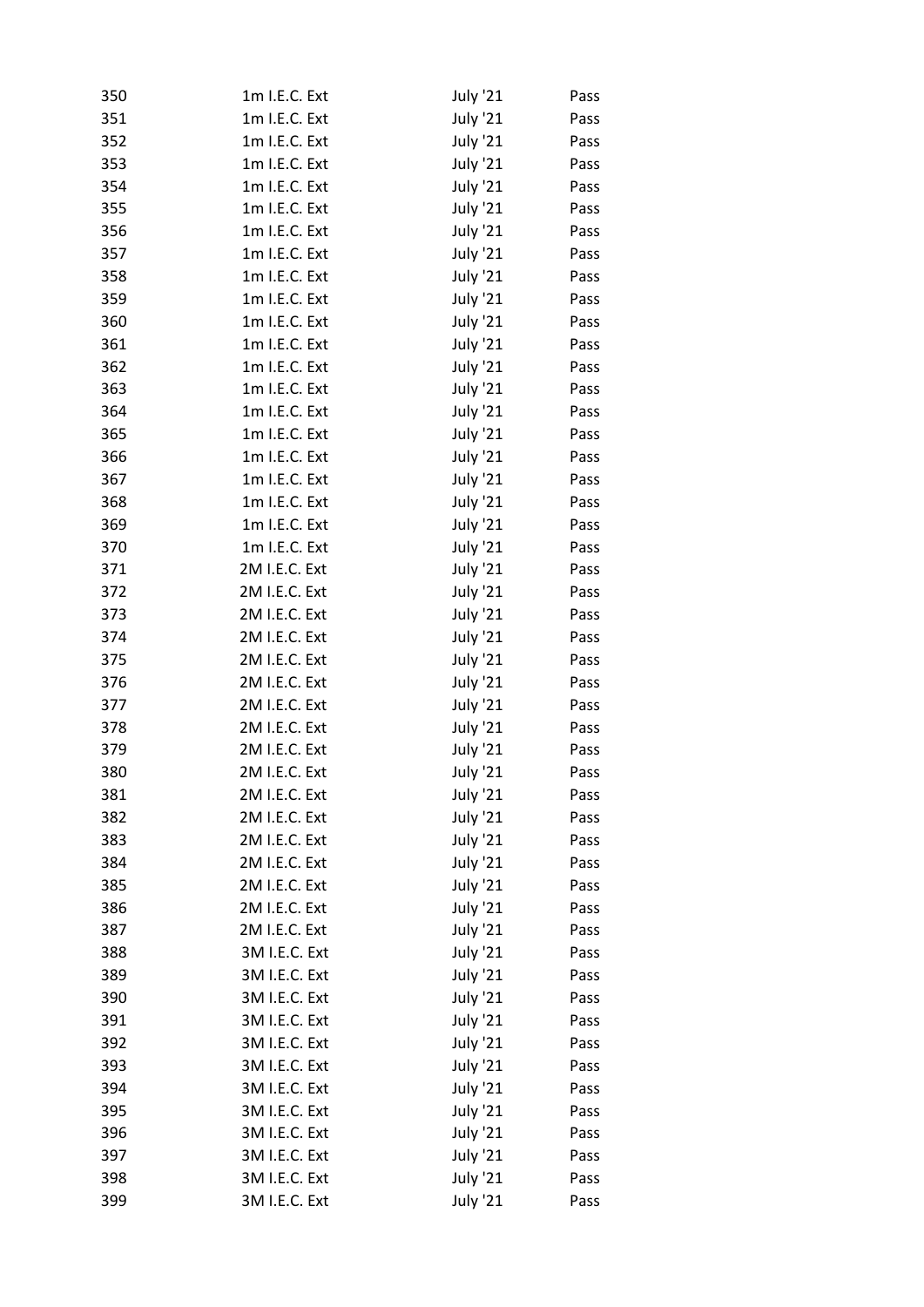| 350 | 1m I.E.C. Ext | <b>July '21</b> | Pass |
|-----|---------------|-----------------|------|
| 351 | 1m I.E.C. Ext | <b>July '21</b> | Pass |
| 352 | 1m I.E.C. Ext | <b>July '21</b> | Pass |
| 353 | 1m I.E.C. Ext | <b>July '21</b> | Pass |
| 354 | 1m I.E.C. Ext | July '21        | Pass |
| 355 | 1m I.E.C. Ext | July '21        | Pass |
| 356 | 1m I.E.C. Ext | <b>July '21</b> | Pass |
| 357 | 1m I.E.C. Ext | <b>July '21</b> | Pass |
| 358 | 1m I.E.C. Ext | <b>July '21</b> | Pass |
| 359 | 1m I.E.C. Ext | July '21        | Pass |
| 360 | 1m I.E.C. Ext | July '21        | Pass |
| 361 | 1m I.E.C. Ext | <b>July '21</b> | Pass |
| 362 | 1m I.E.C. Ext | <b>July '21</b> | Pass |
| 363 | 1m I.E.C. Ext | <b>July '21</b> | Pass |
| 364 | 1m I.E.C. Ext | <b>July '21</b> | Pass |
| 365 | 1m I.E.C. Ext | <b>July '21</b> | Pass |
| 366 | 1m I.E.C. Ext | <b>July '21</b> | Pass |
| 367 | 1m I.E.C. Ext | <b>July '21</b> | Pass |
| 368 | 1m I.E.C. Ext | July '21        | Pass |
| 369 | 1m I.E.C. Ext | <b>July '21</b> | Pass |
| 370 | 1m I.E.C. Ext | <b>July '21</b> | Pass |
| 371 | 2M I.E.C. Ext | <b>July '21</b> | Pass |
| 372 | 2M I.E.C. Ext | <b>July '21</b> | Pass |
| 373 | 2M I.E.C. Ext | July '21        | Pass |
| 374 | 2M I.E.C. Ext | <b>July '21</b> | Pass |
| 375 | 2M I.E.C. Ext | <b>July '21</b> | Pass |
| 376 | 2M I.E.C. Ext | <b>July '21</b> | Pass |
| 377 | 2M I.E.C. Ext | July '21        | Pass |
| 378 | 2M I.E.C. Ext | July '21        | Pass |
| 379 | 2M I.E.C. Ext | <b>July '21</b> | Pass |
| 380 | 2M I.E.C. Ext | <b>July '21</b> | Pass |
| 381 | 2M I.E.C. Ext | <b>July '21</b> | Pass |
| 382 | 2M I.E.C. Ext | <b>July '21</b> | Pass |
| 383 | 2M I.E.C. Ext | <b>July '21</b> | Pass |
| 384 | 2M I.E.C. Ext | <b>July '21</b> | Pass |
| 385 | 2M I.E.C. Ext | <b>July '21</b> | Pass |
|     | 2M I.E.C. Ext |                 |      |
| 386 |               | <b>July '21</b> | Pass |
| 387 | 2M I.E.C. Ext | <b>July '21</b> | Pass |
| 388 | 3M I.E.C. Ext | <b>July '21</b> | Pass |
| 389 | 3M I.E.C. Ext | <b>July '21</b> | Pass |
| 390 | 3M I.E.C. Ext | <b>July '21</b> | Pass |
| 391 | 3M I.E.C. Ext | <b>July '21</b> | Pass |
| 392 | 3M I.E.C. Ext | <b>July '21</b> | Pass |
| 393 | 3M I.E.C. Ext | <b>July '21</b> | Pass |
| 394 | 3M I.E.C. Ext | <b>July '21</b> | Pass |
| 395 | 3M I.E.C. Ext | <b>July '21</b> | Pass |
| 396 | 3M I.E.C. Ext | <b>July '21</b> | Pass |
| 397 | 3M I.E.C. Ext | <b>July '21</b> | Pass |
| 398 | 3M I.E.C. Ext | <b>July '21</b> | Pass |
| 399 | 3M I.E.C. Ext | <b>July '21</b> | Pass |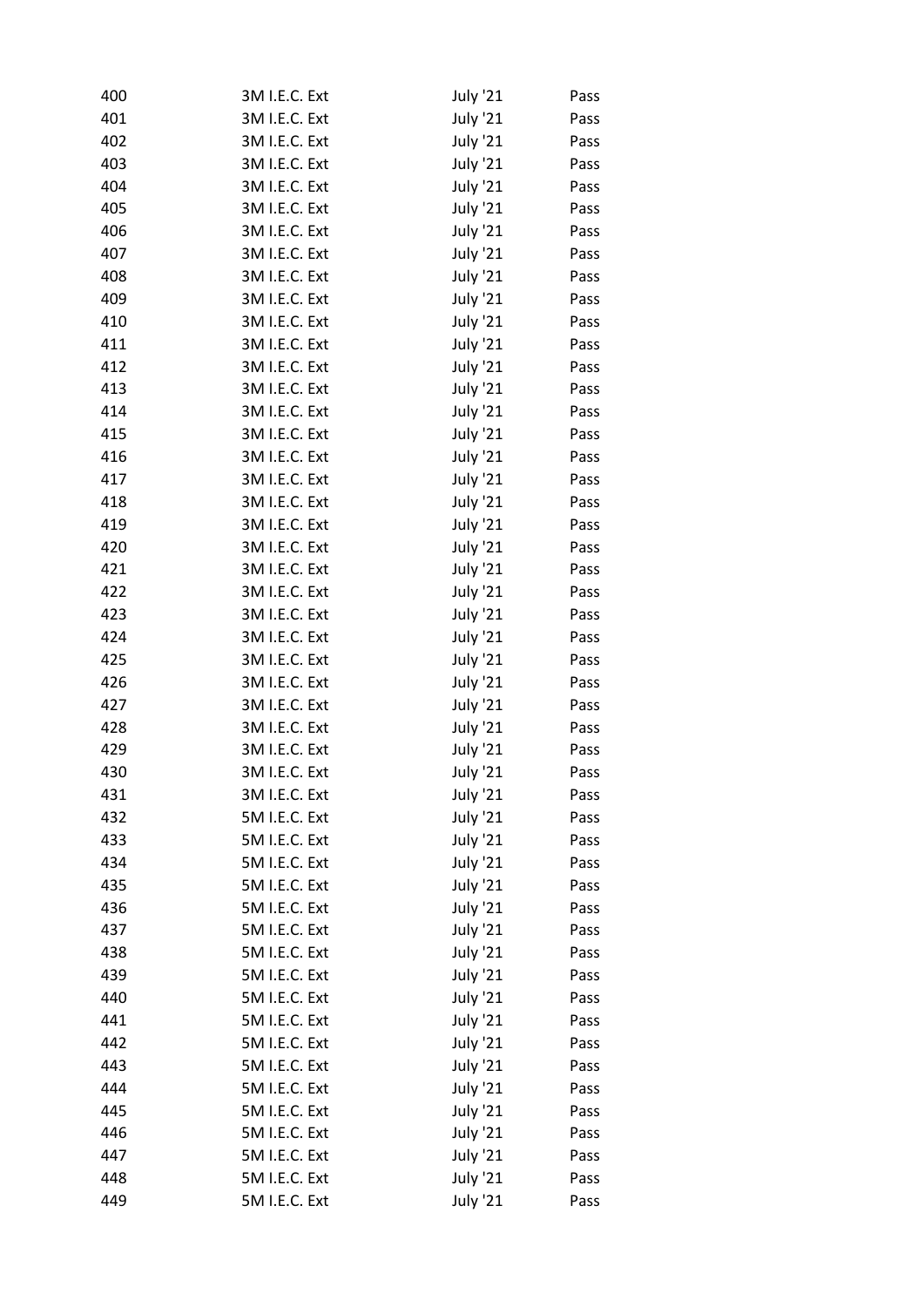| 400 | 3M I.E.C. Ext | <b>July '21</b> | Pass |
|-----|---------------|-----------------|------|
| 401 | 3M I.E.C. Ext | July '21        | Pass |
| 402 | 3M I.E.C. Ext | <b>July '21</b> | Pass |
| 403 | 3M I.E.C. Ext | July '21        | Pass |
| 404 | 3M I.E.C. Ext | July '21        | Pass |
| 405 | 3M I.E.C. Ext | July '21        | Pass |
| 406 | 3M I.E.C. Ext | <b>July '21</b> | Pass |
| 407 | 3M I.E.C. Ext | <b>July '21</b> | Pass |
| 408 | 3M I.E.C. Ext | July '21        | Pass |
| 409 | 3M I.E.C. Ext | July '21        | Pass |
| 410 | 3M I.E.C. Ext | July '21        | Pass |
| 411 | 3M I.E.C. Ext | <b>July '21</b> | Pass |
| 412 | 3M I.E.C. Ext | <b>July '21</b> | Pass |
| 413 | 3M I.E.C. Ext | July '21        | Pass |
| 414 | 3M I.E.C. Ext | July '21        | Pass |
| 415 | 3M I.E.C. Ext | <b>July '21</b> | Pass |
| 416 | 3M I.E.C. Ext | <b>July '21</b> | Pass |
| 417 | 3M I.E.C. Ext | <b>July '21</b> | Pass |
| 418 | 3M I.E.C. Ext | July '21        | Pass |
| 419 | 3M I.E.C. Ext | July '21        | Pass |
| 420 | 3M I.E.C. Ext | <b>July '21</b> | Pass |
| 421 | 3M I.E.C. Ext | <b>July '21</b> | Pass |
| 422 | 3M I.E.C. Ext | July '21        | Pass |
| 423 | 3M I.E.C. Ext | July '21        | Pass |
| 424 | 3M I.E.C. Ext | July '21        | Pass |
| 425 | 3M I.E.C. Ext | <b>July '21</b> | Pass |
| 426 | 3M I.E.C. Ext | <b>July '21</b> | Pass |
| 427 | 3M I.E.C. Ext | July '21        | Pass |
| 428 | 3M I.E.C. Ext | July '21        | Pass |
| 429 | 3M I.E.C. Ext | <b>July '21</b> | Pass |
| 430 | 3M I.E.C. Ext | <b>July '21</b> | Pass |
| 431 | 3M I.E.C. Ext | <b>July '21</b> | Pass |
| 432 | 5M I.E.C. Ext | <b>July '21</b> | Pass |
| 433 | 5M I.E.C. Ext | <b>July '21</b> | Pass |
| 434 | 5M I.E.C. Ext | <b>July '21</b> | Pass |
| 435 | 5M I.E.C. Ext | <b>July '21</b> | Pass |
| 436 | 5M I.E.C. Ext | <b>July '21</b> | Pass |
| 437 | 5M I.E.C. Ext | <b>July '21</b> | Pass |
| 438 | 5M I.E.C. Ext | <b>July '21</b> | Pass |
| 439 | 5M I.E.C. Ext | <b>July '21</b> | Pass |
| 440 | 5M I.E.C. Ext | <b>July '21</b> | Pass |
| 441 | 5M I.E.C. Ext | <b>July '21</b> | Pass |
| 442 | 5M I.E.C. Ext | <b>July '21</b> | Pass |
| 443 | 5M I.E.C. Ext | <b>July '21</b> | Pass |
| 444 | 5M I.E.C. Ext | <b>July '21</b> | Pass |
| 445 | 5M I.E.C. Ext | <b>July '21</b> | Pass |
| 446 | 5M I.E.C. Ext | <b>July '21</b> | Pass |
| 447 | 5M I.E.C. Ext |                 |      |
| 448 | 5M I.E.C. Ext | <b>July '21</b> | Pass |
|     |               | <b>July '21</b> | Pass |
| 449 | 5M I.E.C. Ext | <b>July '21</b> | Pass |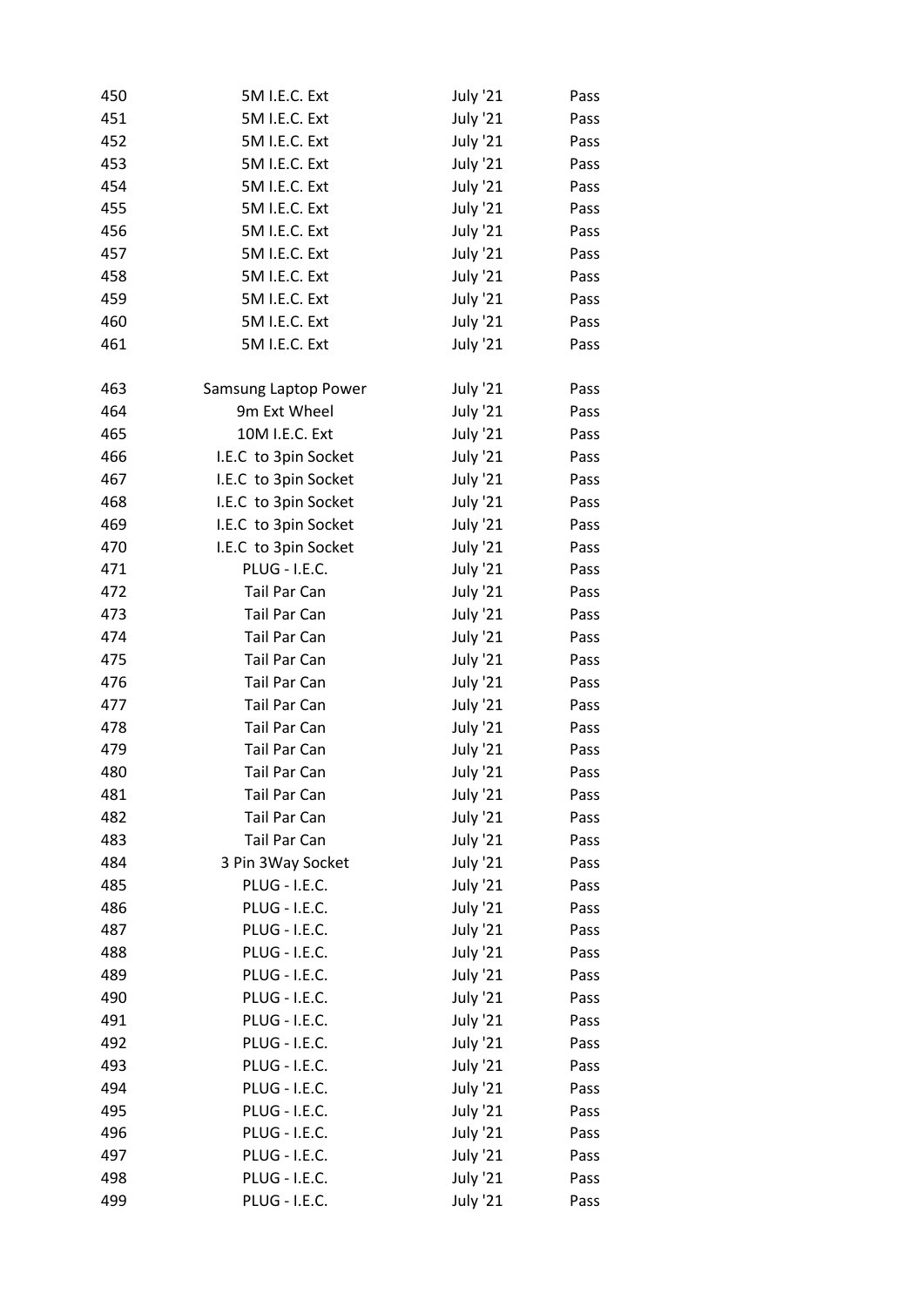| 450 | 5M I.E.C. Ext        | <b>July '21</b>                    | Pass |
|-----|----------------------|------------------------------------|------|
| 451 | 5M I.E.C. Ext        | <b>July '21</b>                    | Pass |
| 452 | 5M I.E.C. Ext        | <b>July '21</b>                    | Pass |
| 453 | 5M I.E.C. Ext        | <b>July '21</b>                    | Pass |
| 454 | 5M I.E.C. Ext        | July '21                           | Pass |
| 455 | 5M I.E.C. Ext        | July '21                           | Pass |
| 456 | 5M I.E.C. Ext        | <b>July '21</b>                    | Pass |
| 457 | 5M I.E.C. Ext        | <b>July '21</b>                    | Pass |
| 458 | 5M I.E.C. Ext        | <b>July '21</b>                    | Pass |
| 459 | 5M I.E.C. Ext        | July '21                           | Pass |
| 460 | 5M I.E.C. Ext        | July '21                           | Pass |
| 461 | 5M I.E.C. Ext        | <b>July '21</b>                    | Pass |
|     |                      |                                    |      |
| 463 | Samsung Laptop Power | <b>July '21</b>                    | Pass |
| 464 | 9m Ext Wheel         | <b>July '21</b>                    | Pass |
| 465 | 10M I.E.C. Ext       | <b>July '21</b>                    | Pass |
| 466 | I.E.C to 3pin Socket | <b>July '21</b>                    | Pass |
| 467 | I.E.C to 3pin Socket | <b>July '21</b>                    | Pass |
| 468 | I.E.C to 3pin Socket | July '21                           | Pass |
| 469 | I.E.C to 3pin Socket | <b>July '21</b>                    | Pass |
| 470 | I.E.C to 3pin Socket | July '21                           | Pass |
| 471 | PLUG - I.E.C.        | <b>July '21</b>                    | Pass |
| 472 | Tail Par Can         | July '21                           | Pass |
| 473 | Tail Par Can         | July '21                           | Pass |
| 474 | Tail Par Can         | July '21                           | Pass |
| 475 | Tail Par Can         | <b>July '21</b>                    | Pass |
| 476 | Tail Par Can         | <b>July '21</b>                    | Pass |
| 477 | Tail Par Can         | July '21                           | Pass |
| 478 | <b>Tail Par Can</b>  | July '21                           | Pass |
| 479 | <b>Tail Par Can</b>  | <b>July '21</b>                    | Pass |
| 480 | Tail Par Can         | <b>July '21</b>                    | Pass |
| 481 | Tail Par Can         | <b>July '21</b>                    | Pass |
| 482 | Tail Par Can         | <b>July '21</b>                    | Pass |
| 483 | Tail Par Can         | <b>July '21</b>                    | Pass |
| 484 | 3 Pin 3 Way Socket   | <b>July '21</b>                    | Pass |
| 485 | PLUG - I.E.C.        | <b>July '21</b>                    | Pass |
| 486 | PLUG - I.E.C.        |                                    |      |
| 487 | <b>PLUG - I.E.C.</b> | <b>July '21</b><br><b>July '21</b> | Pass |
|     | <b>PLUG - I.E.C.</b> |                                    | Pass |
| 488 |                      | <b>July '21</b>                    | Pass |
| 489 | <b>PLUG - I.E.C.</b> | <b>July '21</b>                    | Pass |
| 490 | <b>PLUG - I.E.C.</b> | <b>July '21</b>                    | Pass |
| 491 | <b>PLUG - I.E.C.</b> | <b>July '21</b>                    | Pass |
| 492 | <b>PLUG - I.E.C.</b> | <b>July '21</b>                    | Pass |
| 493 | PLUG - I.E.C.        | <b>July '21</b>                    | Pass |
| 494 | <b>PLUG - I.E.C.</b> | <b>July '21</b>                    | Pass |
| 495 | <b>PLUG - I.E.C.</b> | <b>July '21</b>                    | Pass |
| 496 | PLUG - I.E.C.        | <b>July '21</b>                    | Pass |
| 497 | PLUG - I.E.C.        | <b>July '21</b>                    | Pass |
| 498 | <b>PLUG - I.E.C.</b> | <b>July '21</b>                    | Pass |
| 499 | PLUG - I.E.C.        | <b>July '21</b>                    | Pass |